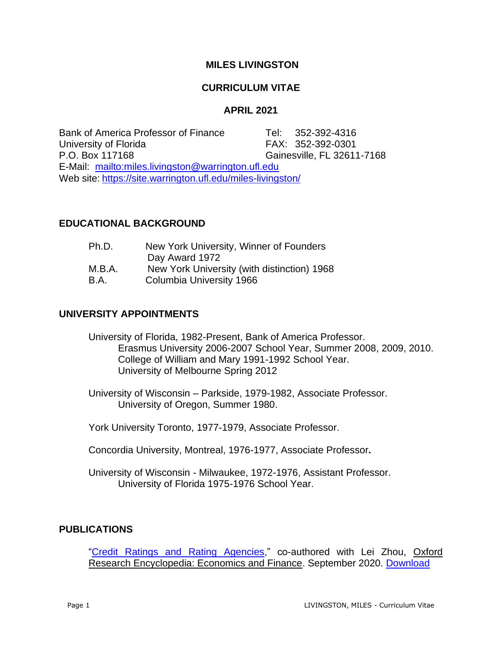# **MILES LIVINGSTON**

# **CURRICULUM VITAE**

# **APRIL 2021**

Bank of America Professor of Finance Tel: 352-392-4316 University of Florida FAX: 352-392-0301 P.O. Box 117168 Gainesville, FL 32611-7168 E-Mail: <mailto:miles.livingston@warrington.ufl.edu> Web site: <https://site.warrington.ufl.edu/miles-livingston/>

# **EDUCATIONAL BACKGROUND**

| Ph.D.  | New York University, Winner of Founders     |
|--------|---------------------------------------------|
|        | Day Award 1972                              |
| M.B.A. | New York University (with distinction) 1968 |
| B.A.   | Columbia University 1966                    |
|        |                                             |

# **UNIVERSITY APPOINTMENTS**

University of Florida, 1982-Present, Bank of America Professor. Erasmus University 2006-2007 School Year, Summer 2008, 2009, 2010. College of William and Mary 1991-1992 School Year. University of Melbourne Spring 2012

University of Wisconsin – Parkside, 1979-1982, Associate Professor. University of Oregon, Summer 1980.

York University Toronto, 1977-1979, Associate Professor.

Concordia University, Montreal, 1976-1977, Associate Professor**.** 

University of Wisconsin - Milwaukee, 1972-1976, Assistant Professor. University of Florida 1975-1976 School Year.

# **PUBLICATIONS**

["Credit Ratings and Rating Agencies,](https://site.warrington.ufl.edu/miles-livingston/files/2021/03/CREDIT-RATINGS-OXFORD-ENCYCLOPEDIA.pdf)" co-authored with Lei Zhou, Oxford Research Encyclopedia: Economics and Finance. September 2020. [Download](https://site.warrington.ufl.edu/miles-livingston/files/2021/03/CREDIT-RATINGS-OXFORD-ENCYCLOPEDIA.pdf)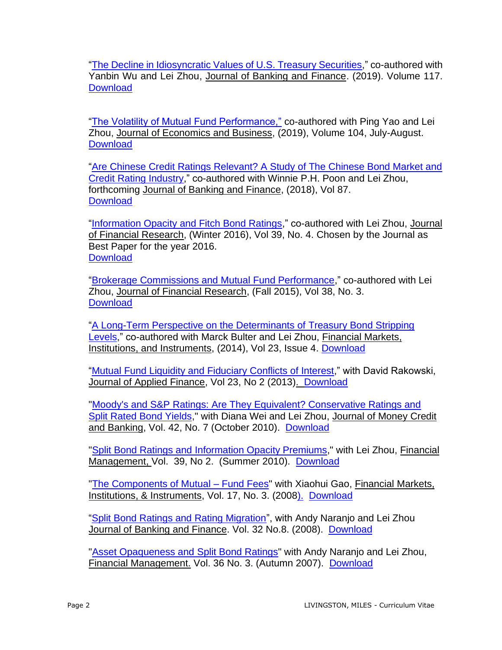["The Decline in Idiosyncratic Values of U.S. Treasury Securities,](https://doi.org/10.1016/j.jbankfin.2019.08.001)" co-authored with Yanbin Wu and Lei Zhou, Journal of Banking and Finance. (2019). Volume 117. **[Download](https://doi.org/10.1016/j.jbankfin.2019.08.001)** 

["The Volatility of Mutual Fund Performance,"](https://doi.org/10.1016/j.jeconbus.2019.02.001) co-authored with Ping Yao and Lei Zhou, Journal of Economics and Business, (2019), Volume 104, July-August. **[Download](https://doi.org/10.1016/j.jeconbus.2019.02.001)** 

["Are Chinese Credit Ratings Relevant? A Study of The Chinese Bond Market and](https://doi.org/10.1016/j.jbankfin.2017.09.020)  [Credit Rating Industry,](https://doi.org/10.1016/j.jbankfin.2017.09.020)" co-authored with Winnie P.H. Poon and Lei Zhou, forthcoming Journal of Banking and Finance, (2018), Vol 87. **[Download](https://doi.org/10.1016/j.jbankfin.2017.09.020)** 

["Information Opacity and Fitch Bond Ratings,](http://onlinelibrary.wiley.com/doi/10.1111/jfir.12110/epdf)" co-authored with Lei Zhou, Journal of Financial Research, (Winter 2016), Vol 39, No. 4. Chosen by the Journal as Best Paper for the year 2016. **[Download](http://onlinelibrary.wiley.com/doi/10.1111/jfir.12110/epdf)** 

["Brokerage Commissions and Mutual Fund Performance,](https://onlinelibrary.wiley.com/doi/pdf/10.1111/jfir.12060)" co-authored with Lei Zhou, Journal of Financial Research, (Fall 2015), Vol 38, No. 3. **[Download](http://onlinelibrary.wiley.com/doi/10.1111/jfir.12060/pdf)** 

["A Long-Term Perspective on the Determinants of Treasury Bond Stripping](https://doi.org/10.1111/fmii.12018)  [Levels,](https://doi.org/10.1111/fmii.12018)" co-authored with Marck Bulter and Lei Zhou, Financial Markets, Institutions, and Instruments, (2014), Vol 23, Issue 4. [Download](https://doi.org/10.1111/fmii.12018)

["Mutual Fund Liquidity and Fiduciary Conflicts of Interest,](https://site.warrington.ufl.edu/miles-livingston/files/2019/07/Mutual-Fund-Liquidity-and-Fiduciary-Conflicts-of-Interest.pdf)" with David Rakowski, Journal of Applied Finance, Vol 23, No 2 (2013). [Download](https://site.warrington.ufl.edu/miles-livingston/files/2019/07/Mutual-Fund-Liquidity-and-Fiduciary-Conflicts-of-Interest.pdf)

"Moody's and S&P [Ratings: Are They Equivalent? Conservative Ratings and](https://onlinelibrary.wiley.com/doi/epdf/10.1111/j.1538-4616.2010.00341.x)  [Split Rated Bond Yields,](https://onlinelibrary.wiley.com/doi/epdf/10.1111/j.1538-4616.2010.00341.x)" with Diana Wei and Lei Zhou, Journal of Money Credit and Banking, Vol. 42, No. 7 (October 2010). [Download](https://onlinelibrary.wiley.com/doi/epdf/10.1111/j.1538-4616.2010.00341.x)

"Split Bond Ratings and [Information Opacity Premiums,](https://site.warrington.ufl.edu/miles-livingston/files/2019/06/Split-Bond-Ratings-and-Information-Opacity-Premiums.pdf)" with Lei Zhou, Financial Management, Vol. 39, No 2. (Summer 2010). [Download](https://site.warrington.ufl.edu/miles-livingston/files/2019/06/Split-Bond-Ratings-and-Information-Opacity-Premiums.pdf)

["The Components of Mutual](https://site.warrington.ufl.edu/miles-livingston/files/2019/06/The-Components-of-Mutual-Fund-Fees.pdf.pdf) – Fund Fees" with Xiaohui Gao, Financial Markets, Institutions, & Instruments, Vol. 17, No. 3. (200[8\).](https://site.warrington.ufl.edu/miles-livingston/files/2019/06/Split-Bond-Ratings-and-Information-Opacity-Premiums.pdf) [Download](https://site.warrington.ufl.edu/miles-livingston/files/2019/06/The-Components-of-Mutual-Fund-Fees.pdf.pdf)

["Split Bond Ratings and Rating Migration"](https://site.warrington.ufl.edu/miles-livingston/files/2019/05/Split-Bond-Ratings-and-Rating-Migration.pdf), with Andy Naranjo and Lei Zhou Journal of Banking and Finance. Vol. 32 No.8. (2008). [Download](https://site.warrington.ufl.edu/miles-livingston/files/2019/05/Split-Bond-Ratings-and-Rating-Migration.pdf)

["Asset Opaqueness and](https://site.warrington.ufl.edu/miles-livingston/files/2019/06/Asset-Opaqueness-and-Split-Bond-Ratings.pdf.pdf) Split Bond Ratings" with Andy Naranjo and Lei Zhou, Financial Management. Vol. 36 No. 3. (Autumn 2007). [Download](https://site.warrington.ufl.edu/miles-livingston/files/2019/06/Asset-Opaqueness-and-Split-Bond-Ratings.pdf.pdf)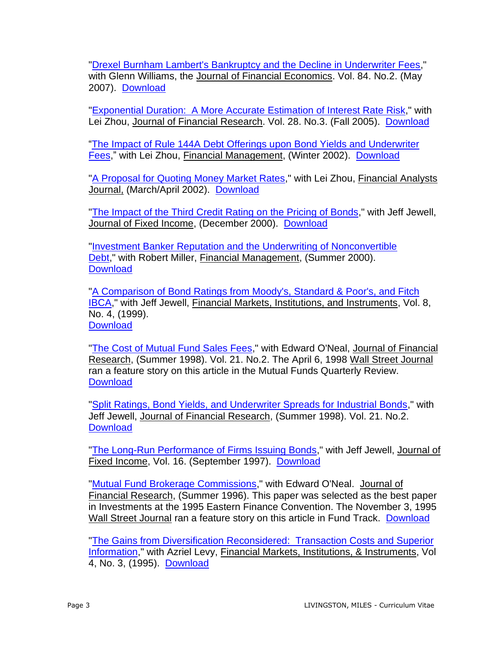["Drexel Burnham Lambert's Bankruptcy and the Decline in Underwriter Fees,](https://site.warrington.ufl.edu/miles-livingston/files/2019/06/Drexel-Burnham-Lambert’s-Bankruptcy-and-the-Subsequent-Decline-in-Underwriter-Fees.pdf)" with Glenn Williams, the Journal of Financial Economics. Vol. 84. No.2. (May 2007). [Download](https://site.warrington.ufl.edu/miles-livingston/files/2019/06/Drexel-Burnham-Lambert’s-Bankruptcy-and-the-Subsequent-Decline-in-Underwriter-Fees.pdf)

["Exponential Duration: A More Accurate](https://site.warrington.ufl.edu/miles-livingston/files/2019/06/Exponential-Duration-a-More-Accurate-Estimation-of-Interest-Rate-Risk.pdf) Estimation of Interest Rate Risk," with Lei Zhou, Journal of Financial Research. Vol. 28. No.3. (Fall 2005). [Download](https://site.warrington.ufl.edu/miles-livingston/files/2019/06/Exponential-Duration-a-More-Accurate-Estimation-of-Interest-Rate-Risk.pdf)

["The Impact of Rule 144A Debt Offerings upon Bond Yields and Underwriter](https://site.warrington.ufl.edu/miles-livingston/files/2019/07/Impact-of-Rule-144A-Debt-Offering-Upon-Yields-and-Underwriter-Fees.pdf)  [Fees,](https://site.warrington.ufl.edu/miles-livingston/files/2019/07/Impact-of-Rule-144A-Debt-Offering-Upon-Yields-and-Underwriter-Fees.pdf)" with Lei Zhou, Financial Management, (Winter 2002). [Download](https://site.warrington.ufl.edu/miles-livingston/files/2019/07/Impact-of-Rule-144A-Debt-Offering-Upon-Yields-and-Underwriter-Fees.pdf)

["A Proposal for Quoting Money Market Rates,](https://site.warrington.ufl.edu/miles-livingston/files/2019/07/A-Proposal-for-Quoting-Money-Market-Rates.pdf)" with Lei Zhou, Financial Analysts Journal, (March/April 2002). [Download](https://site.warrington.ufl.edu/miles-livingston/files/2019/07/A-Proposal-for-Quoting-Money-Market-Rates.pdf)

["The Impact of the Third Credit Rating on the Pricing of Bonds,](https://site.warrington.ufl.edu/miles-livingston/files/2019/07/The-Impact-of-the-Third-Credit-Rating-on-the-Pricing-of-Bonds.pdf)" with Jeff Jewell, Journal of Fixed Income, (December 2000). [Download](https://site.warrington.ufl.edu/miles-livingston/files/2019/07/The-Impact-of-the-Third-Credit-Rating-on-the-Pricing-of-Bonds.pdf)

["Investment Banker Reputation and the Underwriting of Nonconvertible](https://site.warrington.ufl.edu/miles-livingston/files/2019/07/Investment-Banker-Reputation-and-the-Underwriting-of-Nonconvertible-Debt.pdf)  [Debt,](https://site.warrington.ufl.edu/miles-livingston/files/2019/07/Investment-Banker-Reputation-and-the-Underwriting-of-Nonconvertible-Debt.pdf)" with Robert Miller, Financial Management, (Summer 2000). **[Download](https://site.warrington.ufl.edu/miles-livingston/files/2019/07/Investment-Banker-Reputation-and-the-Underwriting-of-Nonconvertible-Debt.pdf)** 

"A Comparison of Bond Ratings [from Moody's, Standard & Poor's, and Fitch](https://doi.org/10.1111/1468-0416.00029)  [IBCA,](https://doi.org/10.1111/1468-0416.00029)" with Jeff Jewell, Financial Markets, Institutions, and Instruments, Vol. 8, No. 4, (1999). **[Download](https://doi.org/10.1111/1468-0416.00029)** 

["The Cost of Mutual Fund Sales Fees,](https://site.warrington.ufl.edu/miles-livingston/files/2019/07/The-cost-of-Mutual-Funde-Sales-Fees.pdf)" with Edward O'Neal, Journal of Financial Research, (Summer 1998). Vol. 21. No.2. The April 6, 1998 Wall Street Journal ran a feature story on this article in the Mutual Funds Quarterly Review. **[Download](https://site.warrington.ufl.edu/miles-livingston/files/2019/07/The-cost-of-Mutual-Funde-Sales-Fees.pdf)** 

["Split Ratings, Bond Yields, and Underwriter Spreads for Industrial Bonds,](https://site.warrington.ufl.edu/miles-livingston/files/2019/07/Split-Ratings-Bond-Yield-and-Underwriter-Spreads-for-Industrial-Bonds.pdf)" with Jeff Jewell, Journal of Financial Research, (Summer 1998). Vol. 21. No.2. **[Download](https://site.warrington.ufl.edu/miles-livingston/files/2019/07/Split-Ratings-Bond-Yield-and-Underwriter-Spreads-for-Industrial-Bonds.pdf)** 

["The Long-Run Performance of Firms Issuing Bonds,](https://site.warrington.ufl.edu/miles-livingston/files/2019/07/The-long-run-Performance-of-Firms-Issuing-Bonds.pdf)" with Jeff Jewell, Journal of Fixed Income, Vol. 16. (September 1997). [Download](https://site.warrington.ufl.edu/miles-livingston/files/2019/07/The-long-run-Performance-of-Firms-Issuing-Bonds.pdf)

["Mutual Fund Brokerage Commissions,](https://site.warrington.ufl.edu/miles-livingston/files/2019/07/Mutual-Fund-Brokerage-Commissions.pdf)" with Edward O'Neal. Journal of Financial Research, (Summer 1996). This paper was selected as the best paper in Investments at the 1995 Eastern Finance Convention. The November 3, 1995 Wall Street Journal ran a feature story on this article in Fund Track. [Download](https://site.warrington.ufl.edu/miles-livingston/files/2019/07/Mutual-Fund-Brokerage-Commissions.pdf)

"The Gains from Diversification [Reconsidered: Transaction Costs and Superior](https://site.warrington.ufl.edu/miles-livingston/files/2019/08/The-Gains-from-Diversification-Reconsidered.pdf)  [Information,](https://site.warrington.ufl.edu/miles-livingston/files/2019/08/The-Gains-from-Diversification-Reconsidered.pdf)" with Azriel Levy, Financial Markets, Institutions, & Instruments, Vol 4, No. 3, (1995). [Download](https://site.warrington.ufl.edu/miles-livingston/files/2019/08/The-Gains-from-Diversification-Reconsidered.pdf)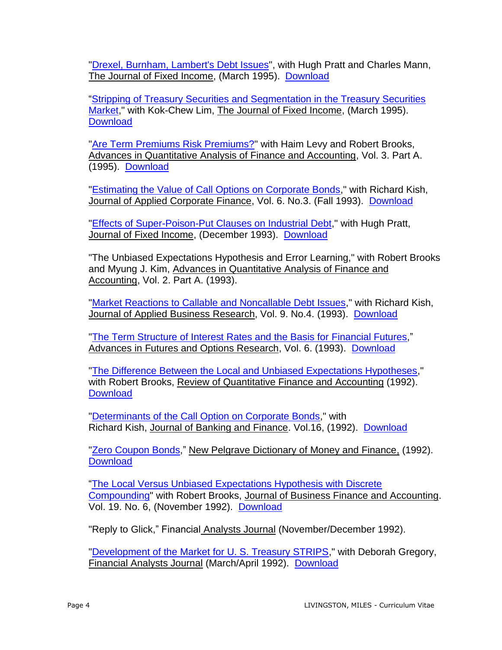["Drexel, Burnham, Lambert's Debt Issues"](https://site.warrington.ufl.edu/miles-livingston/files/2019/08/Drexel-Burnham-Lamberts-Debt-Issues.pdf), with Hugh Pratt and Charles Mann, The Journal of Fixed Income, (March 1995). [Download](https://site.warrington.ufl.edu/miles-livingston/files/2019/08/Drexel-Burnham-Lamberts-Debt-Issues.pdf)

["Stripping of Treasury Securities and Segmentation in the Treasury Securities](https://site.warrington.ufl.edu/miles-livingston/files/2019/07/Stripping-of-Treasury-Securities-and-Segmentation-in-the-Treasury-Securities-Market.pdf)  [Market,](https://site.warrington.ufl.edu/miles-livingston/files/2019/07/Stripping-of-Treasury-Securities-and-Segmentation-in-the-Treasury-Securities-Market.pdf)" with Kok-Chew Lim, The Journal of Fixed Income, (March 1995). **[Download](https://site.warrington.ufl.edu/miles-livingston/files/2019/07/Stripping-of-Treasury-Securities-and-Segmentation-in-the-Treasury-Securities-Market.pdf)** 

["Are Term Premiums Risk Premiums?"](https://site.warrington.ufl.edu/miles-livingston/files/2019/08/Are-Term-Premiums-Risk-Premiums.pdf) with Haim Levy and Robert Brooks, Advances in Quantitative Analysis of Finance and Accounting, Vol. 3. Part A. (1995). [Download](https://site.warrington.ufl.edu/miles-livingston/files/2019/08/Are-Term-Premiums-Risk-Premiums.pdf)

["Estimating the Value of Call Options on Corporate Bonds,](https://site.warrington.ufl.edu/miles-livingston/files/2019/07/The-Pricing-of-Municipal-Bonds.pdf)" with Richard Kish, Journal of Applied Corporate Finance, Vol. 6. No.3. (Fall 1993). [Download](https://site.warrington.ufl.edu/miles-livingston/files/2019/07/The-Pricing-of-Municipal-Bonds.pdf)

["Effects of Super-Poison-Put Clauses on Industrial Debt,](https://site.warrington.ufl.edu/miles-livingston/files/2019/08/Effects-of-Super-Poison-Put-Clauses-on-Industrial-Debt.pdf)" with Hugh Pratt, Journal of Fixed Income, (December 1993). [Download](https://site.warrington.ufl.edu/miles-livingston/files/2019/08/Effects-of-Super-Poison-Put-Clauses-on-Industrial-Debt.pdf)

"The Unbiased Expectations Hypothesis and Error Learning," with Robert Brooks and Myung J. Kim, Advances in Quantitative Analysis of Finance and Accounting, Vol. 2. Part A. (1993).

["Market Reactions to Callable and Noncallable Debt Issues,](https://site.warrington.ufl.edu/miles-livingston/files/2019/07/Market-Reactions-to-Callable-and-Noncallable-Debt-Issues.pdf)" with Richard Kish, Journal of Applied Business Research, Vol. 9. No.4. (1993). [Download](https://site.warrington.ufl.edu/miles-livingston/files/2019/07/Market-Reactions-to-Callable-and-Noncallable-Debt-Issues.pdf)

["The Term Structure of Interest Rates and the Basis for](https://site.warrington.ufl.edu/miles-livingston/files/2019/08/The-Term-Structure-of-Interest-Rates-and-the-Basis-for-Financial-Futures.pdf) Financial Futures," Advances in Futures and Options Research, Vol. 6. (1993). [Download](https://site.warrington.ufl.edu/miles-livingston/files/2019/08/The-Term-Structure-of-Interest-Rates-and-the-Basis-for-Financial-Futures.pdf)

["The Difference Between the Local and Unbiased Expectations Hypotheses,](https://site.warrington.ufl.edu/miles-livingston/files/2019/07/The-Difference-between-the-Local-and-Unbiased-Expectations-Hypotheses.pdf)" with Robert Brooks, Review of Quantitative Finance and Accounting (1992). **[Download](https://site.warrington.ufl.edu/miles-livingston/files/2019/07/The-Difference-between-the-Local-and-Unbiased-Expectations-Hypotheses.pdf)** 

["Determinants of the Call Option on Corporate Bonds,](https://site.warrington.ufl.edu/miles-livingston/files/2019/07/Determinants-of-the-the-Call-Option-on-Corporate-Bonds.pdf)" with Richard Kish, Journal of Banking and Finance. Vol.16, (1992). [Download](https://site.warrington.ufl.edu/miles-livingston/files/2019/07/Determinants-of-the-the-Call-Option-on-Corporate-Bonds.pdf)

["Zero Coupon Bonds,](https://site.warrington.ufl.edu/miles-livingston/files/2019/07/Zero-Coupon-Bonds.pdf)" New Pelgrave Dictionary of Money and Finance, (1992). **[Download](https://site.warrington.ufl.edu/miles-livingston/files/2019/07/Zero-Coupon-Bonds.pdf)** 

["The Local Versus Unbiased Expectations Hypothesis with Discrete](https://site.warrington.ufl.edu/miles-livingston/files/2019/07/The-Local-versus-Unbiased-Expectations-Hypothesis-with-Discrete-Compounding.pdf)  [Compounding"](https://site.warrington.ufl.edu/miles-livingston/files/2019/07/The-Local-versus-Unbiased-Expectations-Hypothesis-with-Discrete-Compounding.pdf) with Robert Brooks, Journal of Business Finance and Accounting. Vol. 19. No. 6, (November 1992). [Download](https://site.warrington.ufl.edu/miles-livingston/files/2019/07/The-Local-versus-Unbiased-Expectations-Hypothesis-with-Discrete-Compounding.pdf)

"Reply to Glick," Financial Analysts Journal (November/December 1992).

["Development of the Market for U. S. Treasury STRIPS,](https://site.warrington.ufl.edu/miles-livingston/files/2019/07/Development-of-the-Market-for-US-Treasury-STRIPS.pdf)" with Deborah Gregory, Financial Analysts Journal (March/April 1992). [Download](https://site.warrington.ufl.edu/miles-livingston/files/2019/07/Development-of-the-Market-for-US-Treasury-STRIPS.pdf)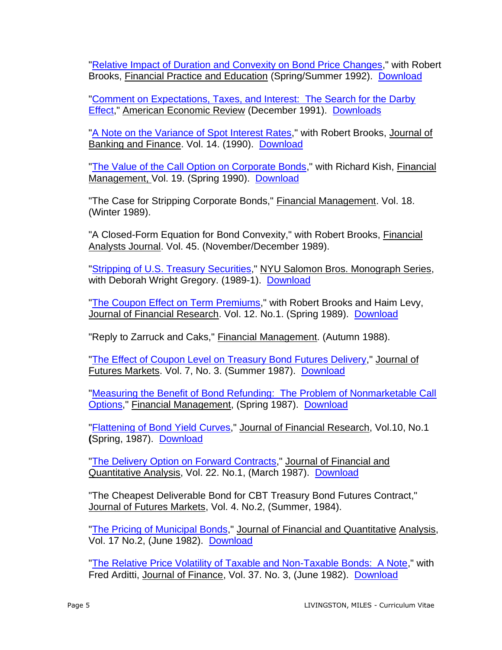["Relative Impact of Duration and Convexity on Bond Price Changes,](https://site.warrington.ufl.edu/miles-livingston/files/2019/07/Relative-Impact-of-Duration-and-Convexity-on-Bond-Price-Changes.pdf)" with Robert Brooks, Financial Practice and Education (Spring/Summer 1992). [Download](https://site.warrington.ufl.edu/miles-livingston/files/2019/07/Relative-Impact-of-Duration-and-Convexity-on-Bond-Price-Changes.pdf)

["Comment on Expectations, Taxes, and Interest: The Search for the Darby](https://site.warrington.ufl.edu/miles-livingston/files/2019/07/Expectations-Taxes-and-Interest-Comment-1.pdf)  [Effect,](https://site.warrington.ufl.edu/miles-livingston/files/2019/07/Expectations-Taxes-and-Interest-Comment-1.pdf)" American Economic Review (December 1991). [Downloads](https://site.warrington.ufl.edu/miles-livingston/files/2019/07/Expectations-Taxes-and-Interest-Comment-1.pdf)

["A Note on the Variance of Spot Interest Rates,](https://site.warrington.ufl.edu/miles-livingston/files/2019/07/A-Note-On-The-Variance-of-Spot-Interest-Rates.pdf)" with Robert Brooks, Journal of Banking and Finance. Vol. 14. (1990). [Download](https://site.warrington.ufl.edu/miles-livingston/files/2019/07/A-Note-On-The-Variance-of-Spot-Interest-Rates.pdf)

["The Value of the Call Option on Corporate Bonds,](https://site.warrington.ufl.edu/miles-livingston/files/2019/07/The-Value-of-the-Call-Option-on-Corporate-Bonds.pdf)" with Richard Kish, Financial Management, Vol. 19. (Spring 1990). [Download](https://site.warrington.ufl.edu/miles-livingston/files/2019/07/The-Value-of-the-Call-Option-on-Corporate-Bonds.pdf)

"The Case for Stripping Corporate Bonds," Financial Management. Vol. 18. (Winter 1989).

"A Closed-Form Equation for Bond Convexity," with Robert Brooks, Financial Analysts Journal. Vol. 45. (November/December 1989).

["Stripping of U.S. Treasury Securities,](https://site.warrington.ufl.edu/miles-livingston/files/2019/07/STRIPPING-OF-U.S.-TREASURY-SECURITIES.pdf)" NYU Salomon Bros. Monograph Series, with Deborah Wright Gregory. (1989-1). [Download](https://site.warrington.ufl.edu/miles-livingston/files/2019/07/STRIPPING-OF-U.S.-TREASURY-SECURITIES.pdf)

["The Coupon Effect on Term Premiums,](https://site.warrington.ufl.edu/miles-livingston/files/2019/07/The-Coupon-Effect-on-Term-Premiums.pdf)" with Robert Brooks and Haim Levy, Journal of Financial Research. Vol. 12. No.1. (Spring 1989). [Download](https://site.warrington.ufl.edu/miles-livingston/files/2019/07/The-Coupon-Effect-on-Term-Premiums.pdf)

"Reply to Zarruck and Caks," Financial Management. (Autumn 1988).

["The Effect of Coupon Level on Treasury Bond Futures Delivery,](https://site.warrington.ufl.edu/miles-livingston/files/2019/07/The-Effect-of-Coupon-Level-on-Treasury-Bond-Futures-Delivery.pdf)" Journal of Futures Markets. Vol. 7, No. 3. (Summer 1987). [Download](https://site.warrington.ufl.edu/miles-livingston/files/2019/07/The-Effect-of-Coupon-Level-on-Treasury-Bond-Futures-Delivery.pdf)

"Measuring the Benefit of Bond Refunding: The Problem of Nonmarketable Call [Options,](https://site.warrington.ufl.edu/miles-livingston/files/2019/07/Measuring-the-Benefit-of-Bond-Refunding.pdf)" Financial Management, (Spring 1987). [Download](https://site.warrington.ufl.edu/miles-livingston/files/2019/07/Measuring-the-Benefit-of-Bond-Refunding.pdf)

["Flattening of Bond](https://site.warrington.ufl.edu/miles-livingston/files/2019/07/Flattening-of-Bond-Yield-Curves.pdf) Yield Curves," Journal of Financial Research, Vol.10, No.1 **(**Spring, 1987). [Download](https://site.warrington.ufl.edu/miles-livingston/files/2019/07/Flattening-of-Bond-Yield-Curves.pdf)

["The Delivery Option on Forward Contracts,](https://site.warrington.ufl.edu/miles-livingston/files/2019/07/The-Delivery-Option-on-Forward-Contracts.pdf)" Journal of Financial and Quantitative Analysis, Vol. 22. No.1, (March 1987). [Download](https://site.warrington.ufl.edu/miles-livingston/files/2019/07/The-Delivery-Option-on-Forward-Contracts.pdf)

"The Cheapest Deliverable Bond for CBT Treasury Bond Futures Contract," Journal of Futures Markets, Vol. 4. No.2, (Summer, 1984).

["The Pricing of Municipal Bonds,](https://site.warrington.ufl.edu/miles-livingston/files/2019/07/The-Pricing-of-Municipal-Bonds.pdf)" Journal of Financial and Quantitative Analysis, Vol. 17 No.2, (June 1982). [Download](https://site.warrington.ufl.edu/miles-livingston/files/2019/07/The-Pricing-of-Municipal-Bonds.pdf)

["The Relative Price Volatility of Taxable and Non-Taxable Bonds: A Note,](https://site.warrington.ufl.edu/miles-livingston/files/2019/07/The-Relative-Price-Volatility-of-Taxable-and-Non-Taxable-Bonds.pdf)" with Fred Arditti, Journal of Finance, Vol. 37. No. 3, (June 1982). [Download](https://site.warrington.ufl.edu/miles-livingston/files/2019/07/The-Relative-Price-Volatility-of-Taxable-and-Non-Taxable-Bonds.pdf)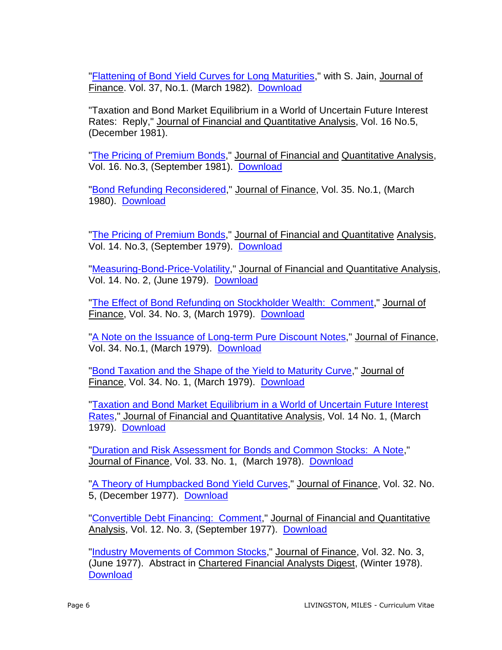["Flattening of Bond Yield Curves for Long Maturities,](https://site.warrington.ufl.edu/miles-livingston/files/2019/07/Flattening-of-Bond-Yield-Curves-for-Long-Maturities.pdf)" with S. Jain, Journal of Finance. Vol. 37, No.1. (March 1982). [Download](https://site.warrington.ufl.edu/miles-livingston/files/2019/07/Flattening-of-Bond-Yield-Curves-for-Long-Maturities.pdf)

"Taxation and Bond Market Equilibrium in a World of Uncertain Future Interest Rates: Reply," Journal of Financial and Quantitative Analysis, Vol. 16 No.5, (December 1981).

["The Pricing of Premium Bonds,](https://site.warrington.ufl.edu/miles-livingston/files/2019/07/The-Pricing-of-Premium-Bonds-Reply.pdf)" Journal of Financial and Quantitative Analysis, Vol. 16. No.3, (September 1981). [Download](https://site.warrington.ufl.edu/miles-livingston/files/2019/07/The-Pricing-of-Premium-Bonds-Reply.pdf)

["Bond Refunding Reconsidered,](https://site.warrington.ufl.edu/miles-livingston/files/2019/07/Bond-Refunding-Reconsidered-Comment.pdf)" Journal of Finance, Vol. 35. No.1, (March 1980). [Download](https://site.warrington.ufl.edu/miles-livingston/files/2019/07/Bond-Refunding-Reconsidered-Comment.pdf)

["The Pricing of Premium Bonds,](https://site.warrington.ufl.edu/miles-livingston/files/2019/07/The-Pricing-of-Premium-Bonds.pdf)" Journal of Financial and Quantitative Analysis, Vol. 14. No.3, (September 1979). [Download](https://site.warrington.ufl.edu/miles-livingston/files/2019/07/The-Pricing-of-Premium-Bonds.pdf)

["Measuring-Bond-Price-Volatility,](https://site.warrington.ufl.edu/miles-livingston/files/2019/07/Measuring-Bond-Price-Volatility.pdf)" Journal of Financial and Quantitative Analysis, Vol. 14. No. 2, (June 1979). [Download](https://site.warrington.ufl.edu/miles-livingston/files/2019/07/Measuring-Bond-Price-Volatility.pdf)

["The Effect of Bond Refunding on Stockholder Wealth: Comment,](https://site.warrington.ufl.edu/miles-livingston/files/2019/07/The-Effect-of-Bond-Refunding-on-Stockholder-Wealth.pdf)" Journal of Finance, Vol. 34. No. 3, (March 1979). [Download](https://site.warrington.ufl.edu/miles-livingston/files/2019/07/The-Effect-of-Bond-Refunding-on-Stockholder-Wealth.pdf)

["A Note on the Issuance of Long-term Pure Discount Notes,](https://site.warrington.ufl.edu/miles-livingston/files/2019/07/A-Note-on-the-Issuance-of-Long-term-Pure-Discount-Notes.pdf)" Journal of Finance, Vol. 34. No.1, (March 1979). [Download](https://site.warrington.ufl.edu/miles-livingston/files/2019/07/A-Note-on-the-Issuance-of-Long-term-Pure-Discount-Notes.pdf)

["Bond Taxation and the Shape of the Yield to Maturity Curve,](https://site.warrington.ufl.edu/miles-livingston/files/2019/07/Bond-Taxation-and-the-Shape-of-the-Yield-to-Maturity-Curve.pdf)" Journal of Finance, Vol. 34. No. 1, (March 1979). [Download](https://site.warrington.ufl.edu/miles-livingston/files/2019/07/Bond-Taxation-and-the-Shape-of-the-Yield-to-Maturity-Curve.pdf)

["Taxation and Bond Market Equilibrium in a World of Uncertain Future Interest](https://site.warrington.ufl.edu/miles-livingston/files/2019/07/Taxation-and-Bond-Market-Equilibrium.pdf)  [Rates,](https://site.warrington.ufl.edu/miles-livingston/files/2019/07/Taxation-and-Bond-Market-Equilibrium.pdf)" Journal of Financial and Quantitative Analysis, Vol. 14 No. 1, (March 1979). [Download](https://site.warrington.ufl.edu/miles-livingston/files/2019/07/Taxation-and-Bond-Market-Equilibrium.pdf)

["Duration and Risk Assessment for Bonds and Common Stocks: A Note,](https://site.warrington.ufl.edu/miles-livingston/files/2019/07/Duration-and-Risk-Assessment-for-Bonds-and-Common-Stocks.pdf)" Journal of Finance, Vol. 33. No. 1, (March 1978). [Download](https://site.warrington.ufl.edu/miles-livingston/files/2019/07/Duration-and-Risk-Assessment-for-Bonds-and-Common-Stocks.pdf)

["A Theory of Humpbacked Bond Yield Curves,](https://site.warrington.ufl.edu/miles-livingston/files/2019/07/A-Theory-of-Humpbacked-Yield-Curves.pdf)" Journal of Finance, Vol. 32. No. 5, (December 1977). [Download](https://site.warrington.ufl.edu/miles-livingston/files/2019/07/A-Theory-of-Humpbacked-Yield-Curves.pdf)

["Convertible Debt Financing: Comment,](https://site.warrington.ufl.edu/miles-livingston/files/2019/07/Convertible-Debt-Financing-Comment.pdf)" Journal of Financial and Quantitative Analysis, Vol. 12. No. 3, (September 1977). [Download](https://site.warrington.ufl.edu/miles-livingston/files/2019/07/Convertible-Debt-Financing-Comment.pdf)

["Industry Movements of Common Stocks,](https://site.warrington.ufl.edu/miles-livingston/files/2019/07/Industry-Movements-of-Common-Stocks.pdf)" Journal of Finance, Vol. 32. No. 3, (June 1977). Abstract in Chartered Financial Analysts Digest, (Winter 1978). **[Download](https://site.warrington.ufl.edu/miles-livingston/files/2019/07/Industry-Movements-of-Common-Stocks.pdf)**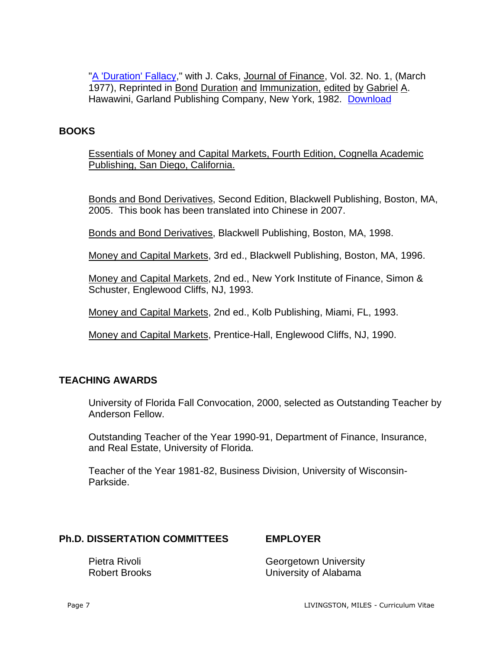["A 'Duration' Fallacy,](https://site.warrington.ufl.edu/miles-livingston/files/2019/07/A-Duration-Fallacy.pdf)" with J. Caks, Journal of Finance, Vol. 32. No. 1, (March 1977), Reprinted in Bond Duration and Immunization, edited by Gabriel A. Hawawini, Garland Publishing Company, New York, 1982. [Download](https://site.warrington.ufl.edu/miles-livingston/files/2019/07/A-Duration-Fallacy.pdf)

# **BOOKS**

Essentials of Money and Capital Markets, Fourth Edition, Cognella Academic Publishing, San Diego, California.

Bonds and Bond Derivatives, Second Edition, Blackwell Publishing, Boston, MA, 2005. This book has been translated into Chinese in 2007.

Bonds and Bond Derivatives, Blackwell Publishing, Boston, MA, 1998.

Money and Capital Markets, 3rd ed., Blackwell Publishing, Boston, MA, 1996.

Money and Capital Markets, 2nd ed., New York Institute of Finance, Simon & Schuster, Englewood Cliffs, NJ, 1993.

Money and Capital Markets, 2nd ed., Kolb Publishing, Miami, FL, 1993.

Money and Capital Markets, Prentice-Hall, Englewood Cliffs, NJ, 1990.

# **TEACHING AWARDS**

University of Florida Fall Convocation, 2000, selected as Outstanding Teacher by Anderson Fellow.

Outstanding Teacher of the Year 1990-91, Department of Finance, Insurance, and Real Estate, University of Florida.

Teacher of the Year 1981-82, Business Division, University of Wisconsin-Parkside.

# **Ph.D. DISSERTATION COMMITTEES EMPLOYER**

Pietra Rivoli **Construction Construction** Georgetown University Robert Brooks University of Alabama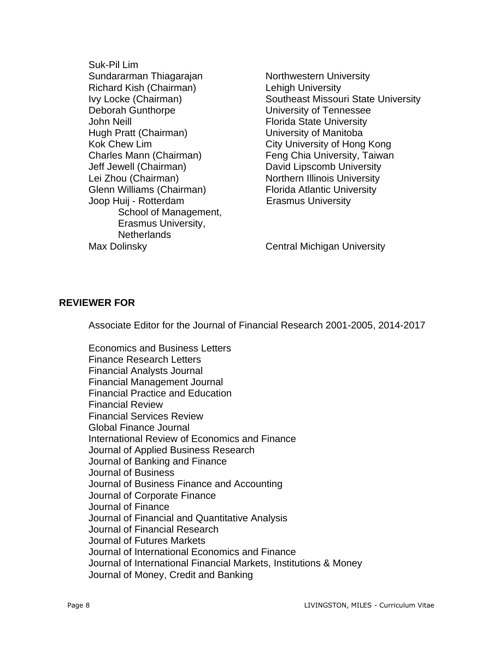Suk-Pil Lim Sundararman Thiagarajan Northwestern University Richard Kish (Chairman) Lehigh University Deborah Gunthorpe University of Tennessee John Neill Florida State University Hugh Pratt (Chairman) University of Manitoba Kok Chew Lim **City University of Hong Kong** Charles Mann (Chairman) Feng Chia University, Taiwan Jeff Jewell (Chairman) David Lipscomb University Lei Zhou (Chairman) Northern Illinois University Glenn Williams (Chairman) Florida Atlantic University Joop Huij - Rotterdam **Erasmus University** School of Management, Erasmus University, **Netherlands** Max Dolinsky **Central Michigan University** 

Ivy Locke (Chairman) Southeast Missouri State University

#### **REVIEWER FOR**

Associate Editor for the Journal of Financial Research 2001-2005, 2014-2017

Economics and Business Letters Finance Research Letters Financial Analysts Journal Financial Management Journal Financial Practice and Education Financial Review Financial Services Review Global Finance Journal International Review of Economics and Finance Journal of Applied Business Research Journal of Banking and Finance Journal of Business Journal of Business Finance and Accounting Journal of Corporate Finance Journal of Finance Journal of Financial and Quantitative Analysis Journal of Financial Research Journal of Futures Markets Journal of International Economics and Finance Journal of International Financial Markets, Institutions & Money Journal of Money, Credit and Banking